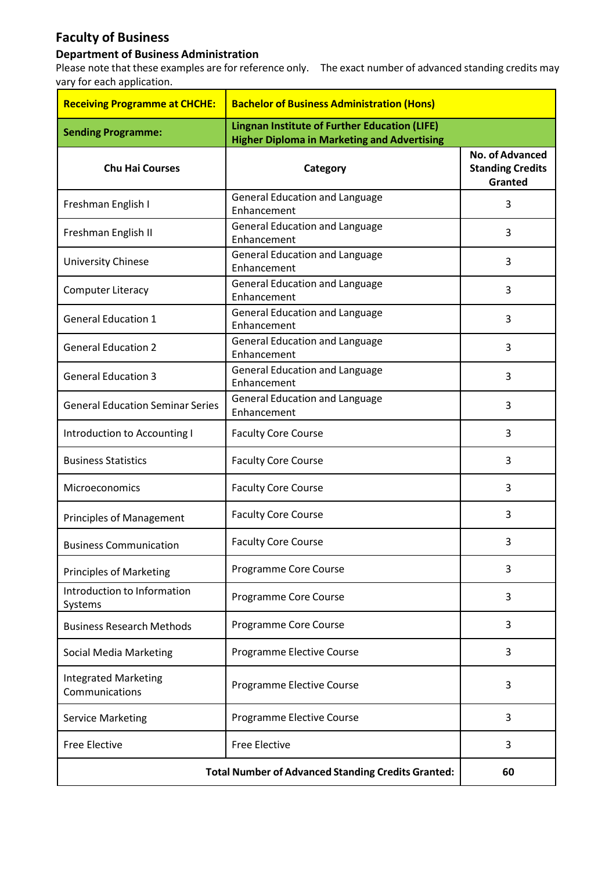## **Faculty of Business**

## **Department of Business Administration**

Please note that these examples are for reference only. The exact number of advanced standing credits may vary for each application.

| <b>Receiving Programme at CHCHE:</b>                      | <b>Bachelor of Business Administration (Hons)</b>                                                          |                                                              |
|-----------------------------------------------------------|------------------------------------------------------------------------------------------------------------|--------------------------------------------------------------|
| <b>Sending Programme:</b>                                 | <b>Lingnan Institute of Further Education (LIFE)</b><br><b>Higher Diploma in Marketing and Advertising</b> |                                                              |
| <b>Chu Hai Courses</b>                                    | Category                                                                                                   | <b>No. of Advanced</b><br><b>Standing Credits</b><br>Granted |
| Freshman English I                                        | <b>General Education and Language</b><br>Enhancement                                                       | 3                                                            |
| Freshman English II                                       | <b>General Education and Language</b><br>Enhancement                                                       | 3                                                            |
| <b>University Chinese</b>                                 | <b>General Education and Language</b><br>Enhancement                                                       | 3                                                            |
| <b>Computer Literacy</b>                                  | <b>General Education and Language</b><br>Enhancement                                                       | 3                                                            |
| <b>General Education 1</b>                                | <b>General Education and Language</b><br>Enhancement                                                       | 3                                                            |
| <b>General Education 2</b>                                | <b>General Education and Language</b><br>Enhancement                                                       | 3                                                            |
| <b>General Education 3</b>                                | <b>General Education and Language</b><br>Enhancement                                                       | 3                                                            |
| <b>General Education Seminar Series</b>                   | <b>General Education and Language</b><br>Enhancement                                                       | 3                                                            |
| Introduction to Accounting I                              | <b>Faculty Core Course</b>                                                                                 | 3                                                            |
| <b>Business Statistics</b>                                | <b>Faculty Core Course</b>                                                                                 | 3                                                            |
| Microeconomics                                            | <b>Faculty Core Course</b>                                                                                 | 3                                                            |
| <b>Principles of Management</b>                           | <b>Faculty Core Course</b>                                                                                 | 3                                                            |
| <b>Business Communication</b>                             | <b>Faculty Core Course</b>                                                                                 | 3                                                            |
| <b>Principles of Marketing</b>                            | Programme Core Course                                                                                      | 3                                                            |
| Introduction to Information<br>Systems                    | Programme Core Course                                                                                      | 3                                                            |
| <b>Business Research Methods</b>                          | Programme Core Course                                                                                      | 3                                                            |
| <b>Social Media Marketing</b>                             | Programme Elective Course                                                                                  | 3                                                            |
| <b>Integrated Marketing</b><br>Communications             | Programme Elective Course                                                                                  | 3                                                            |
| <b>Service Marketing</b>                                  | Programme Elective Course                                                                                  | 3                                                            |
| <b>Free Elective</b>                                      | <b>Free Elective</b>                                                                                       | 3                                                            |
| <b>Total Number of Advanced Standing Credits Granted:</b> |                                                                                                            | 60                                                           |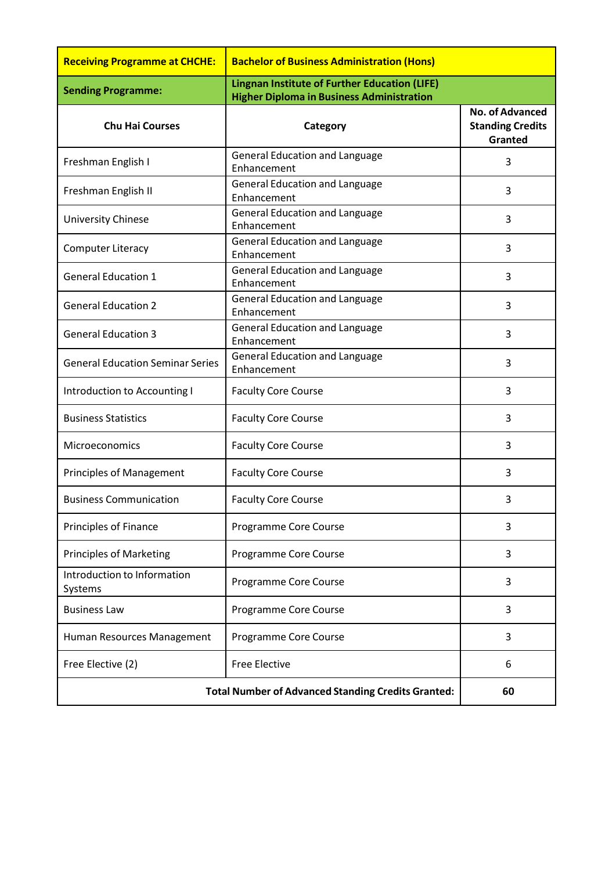| <b>Receiving Programme at CHCHE:</b>                      | <b>Bachelor of Business Administration (Hons)</b>                                                        |                                                              |
|-----------------------------------------------------------|----------------------------------------------------------------------------------------------------------|--------------------------------------------------------------|
| <b>Sending Programme:</b>                                 | <b>Lingnan Institute of Further Education (LIFE)</b><br><b>Higher Diploma in Business Administration</b> |                                                              |
| <b>Chu Hai Courses</b>                                    | Category                                                                                                 | <b>No. of Advanced</b><br><b>Standing Credits</b><br>Granted |
| Freshman English I                                        | <b>General Education and Language</b><br>Enhancement                                                     | 3                                                            |
| Freshman English II                                       | <b>General Education and Language</b><br>Enhancement                                                     | 3                                                            |
| <b>University Chinese</b>                                 | <b>General Education and Language</b><br>Enhancement                                                     | 3                                                            |
| <b>Computer Literacy</b>                                  | <b>General Education and Language</b><br>Enhancement                                                     | 3                                                            |
| <b>General Education 1</b>                                | <b>General Education and Language</b><br>Enhancement                                                     | 3                                                            |
| <b>General Education 2</b>                                | <b>General Education and Language</b><br>Enhancement                                                     | 3                                                            |
| <b>General Education 3</b>                                | <b>General Education and Language</b><br>Enhancement                                                     | 3                                                            |
| <b>General Education Seminar Series</b>                   | <b>General Education and Language</b><br>Enhancement                                                     | 3                                                            |
| Introduction to Accounting I                              | <b>Faculty Core Course</b>                                                                               | 3                                                            |
| <b>Business Statistics</b>                                | <b>Faculty Core Course</b>                                                                               | 3                                                            |
| Microeconomics                                            | <b>Faculty Core Course</b>                                                                               | 3                                                            |
| <b>Principles of Management</b>                           | <b>Faculty Core Course</b>                                                                               | 3                                                            |
| <b>Business Communication</b>                             | <b>Faculty Core Course</b>                                                                               | 3                                                            |
| <b>Principles of Finance</b>                              | Programme Core Course                                                                                    | 3                                                            |
| <b>Principles of Marketing</b>                            | Programme Core Course                                                                                    | 3                                                            |
| Introduction to Information<br>Systems                    | Programme Core Course                                                                                    | 3                                                            |
| <b>Business Law</b>                                       | Programme Core Course                                                                                    | 3                                                            |
| Human Resources Management                                | Programme Core Course                                                                                    | 3                                                            |
| Free Elective (2)                                         | <b>Free Elective</b>                                                                                     | 6                                                            |
| <b>Total Number of Advanced Standing Credits Granted:</b> |                                                                                                          | 60                                                           |